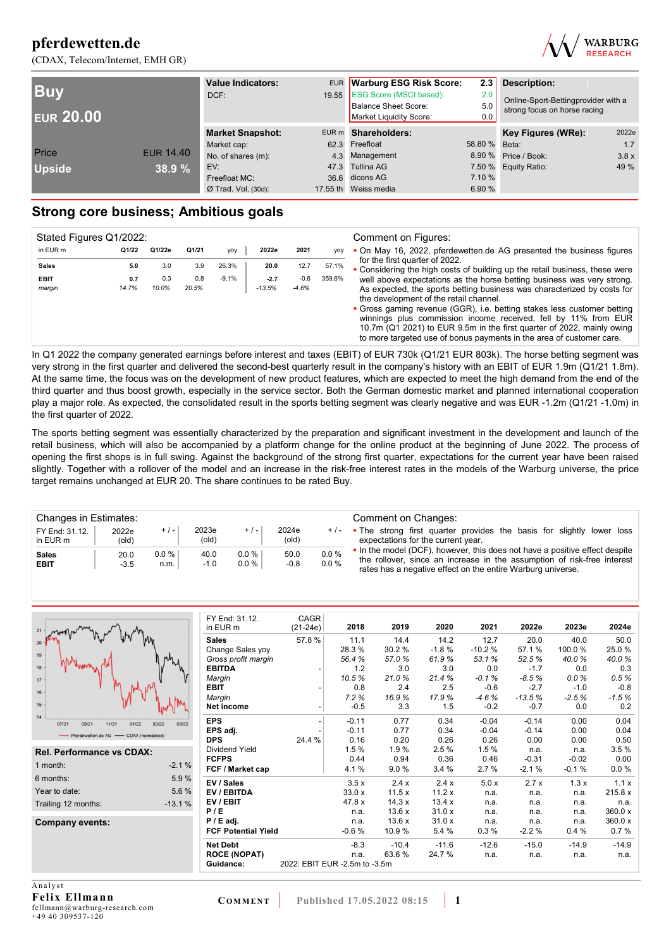



| <b>Buv</b><br><b>EUR 20.00</b> |                  | <b>Value Indicators:</b><br>DCF: | EUR Warburg ESG Risk Score:<br>19.55 ESG Score (MSCI based):<br>Balance Sheet Score:<br>Market Liquidity Score: | 2.3<br><b>Description:</b><br>2.0<br>Online-Sport-Bettingprovider with a<br>5.0<br>strong focus on horse racing<br>0.0 |                      |       |
|--------------------------------|------------------|----------------------------------|-----------------------------------------------------------------------------------------------------------------|------------------------------------------------------------------------------------------------------------------------|----------------------|-------|
|                                |                  | <b>Market Snapshot:</b>          | EUR m Shareholders:                                                                                             |                                                                                                                        | Key Figures (WRe):   | 2022e |
|                                |                  | Market cap:                      | 62.3 Freefloat                                                                                                  | 58.80 % Beta:                                                                                                          |                      | 1.7   |
| Price                          | <b>EUR 14.40</b> | No. of shares (m):               | 4.3 Management                                                                                                  |                                                                                                                        | 8.90 % Price / Book: | 3.8x  |
| <b>Upside</b>                  | 38.9 %           | EV:                              | 47.3 Tullina AG                                                                                                 |                                                                                                                        | 7.50 % Equity Ratio: | 49 %  |
|                                |                  | Freefloat MC:                    | 36.6 dicons AG                                                                                                  | 7.10 %                                                                                                                 |                      |       |
|                                |                  | $Ø$ Trad. Vol. (30d):            | 17.55 th Weiss media                                                                                            | 6.90%                                                                                                                  |                      |       |

## **Strong core business; Ambitious goals**

| Stated Figures Q1/2022: |       |        |       |         |          |         |        | Comment on Figures:                                                                                                                                                                                                                                                                                                                                                                                              |
|-------------------------|-------|--------|-------|---------|----------|---------|--------|------------------------------------------------------------------------------------------------------------------------------------------------------------------------------------------------------------------------------------------------------------------------------------------------------------------------------------------------------------------------------------------------------------------|
| in EUR m                | Q1/22 | Q1/22e | Q1/21 | yoy     | 2022e    | 2021    | yoy    | • On May 16, 2022, pferdewetten.de AG presented the business figures                                                                                                                                                                                                                                                                                                                                             |
| <b>Sales</b>            | 5.0   | 3.0    | 3.9   | 26.3%   | 20.0     | 12.7    | 57.1%  | for the first quarter of 2022.<br>• Considering the high costs of building up the retail business, these were                                                                                                                                                                                                                                                                                                    |
| <b>EBIT</b>             | 0.7   | 0.3    | 0.8   | $-9.1%$ | $-2.7$   | $-0.6$  | 359.6% | well above expectations as the horse betting business was very strong.                                                                                                                                                                                                                                                                                                                                           |
| margin                  | 14.7% | 10.0%  | 20.5% |         | $-13.5%$ | $-4.6%$ |        | As expected, the sports betting business was characterized by costs for<br>the development of the retail channel.<br>• Gross gaming revenue (GGR), i.e. betting stakes less customer betting<br>winnings plus commission income received, fell by 11% from EUR<br>10.7m (Q1 2021) to EUR 9.5m in the first quarter of 2022, mainly owing<br>to more targeted use of bonus payments in the area of customer care. |

In Q1 2022 the company generated earnings before interest and taxes (EBIT) of EUR 730k (Q1/21 EUR 803k). The horse betting segment was very strong in the first quarter and delivered the second-best quarterly result in the company's history with an EBIT of EUR 1.9m (Q1/21 1.8m). At the same time, the focus was on the development of new product features, which are expected to meet the high demand from the end of the third quarter and thus boost growth, especially in the service sector. Both the German domestic market and planned international cooperation play a major role. As expected, the consolidated result in the sports betting segment was clearly negative and was EUR -1.2m (Q1/21 -1.0m) in the first quarter of 2022.

The sports betting segment was essentially characterized by the preparation and significant investment in the development and launch of the retail business, which will also be accompanied by a platform change for the online product at the beginning of June 2022. The process of opening the first shops is in full swing. Against the background of the strong first quarter, expectations for the current year have been raised slightly. Together with a rollover of the model and an increase in the risk-free interest rates in the models of the Warburg universe, the price target remains unchanged at EUR 20. The share continues to be rated Buy.

| Changes in Estimates:      |                         |                  |                |                  |                |              | Comment on Changes:                                                                                                                                                                                                   |
|----------------------------|-------------------------|------------------|----------------|------------------|----------------|--------------|-----------------------------------------------------------------------------------------------------------------------------------------------------------------------------------------------------------------------|
| FY End: 31.12.<br>in EUR m | 2022e<br>$\text{(old)}$ | $+/-$            | 2023e<br>(old) | $+/-$            | 2024e<br>(old) | $+/-$        | • The strong first quarter provides the basis for slightly lower loss<br>expectations for the current year.                                                                                                           |
| <b>Sales</b><br>EBIT       | 20.0<br>$-3.5$          | $0.0 \%$<br>n.m. | 40.0<br>$-1.0$ | 0.0%<br>$0.0 \%$ | 50.0<br>$-0.8$ | 0.0%<br>0.0% | • In the model (DCF), however, this does not have a positive effect despite<br>the rollover, since an increase in the assumption of risk-free interest<br>rates has a negative effect on the entire Warburg universe. |

|                                          |                | FY End: 31.12.             | CAGR                          |         |         |         |          |          |         |         |
|------------------------------------------|----------------|----------------------------|-------------------------------|---------|---------|---------|----------|----------|---------|---------|
| $21 -$                                   |                | in EUR m                   | $(21-24e)$                    | 2018    | 2019    | 2020    | 2021     | 2022e    | 2023e   | 2024e   |
| 20                                       |                | <b>Sales</b>               | 57.8%                         | 11.1    | 14.4    | 14.2    | 12.7     | 20.0     | 40.0    | 50.0    |
|                                          |                | Change Sales yoy           |                               | 28.3%   | 30.2%   | $-1.8%$ | $-10.2%$ | 57.1%    | 100.0%  | 25.0%   |
| 19                                       |                | Gross profit margin        |                               | 56.4%   | 57.0%   | 61.9%   | 53.1%    | 52.5%    | 40.0%   | 40.0%   |
| 18                                       |                | <b>EBITDA</b>              |                               | 1.2     | 3.0     | 3.0     | 0.0      | $-1.7$   | 0.0     | 0.3     |
| 17 <sup>17</sup>                         |                | Margin                     |                               | 10.5%   | 21.0%   | 21.4%   | $-0.1%$  | $-8.5%$  | 0.0%    | 0.5%    |
| 16                                       |                | <b>EBIT</b>                |                               | 0.8     | 2.4     | 2.5     | $-0.6$   | $-2.7$   | $-1.0$  | $-0.8$  |
|                                          |                | Margin                     |                               | 7.2%    | 16.9%   | 17.9%   | $-4.6%$  | $-13.5%$ | $-2.5%$ | $-1.5%$ |
| 15 <sup>1</sup>                          |                | <b>Net income</b>          |                               | $-0.5$  | 3.3     | 1.5     | $-0.2$   | $-0.7$   | 0.0     | 0.2     |
| 14<br>07/21<br>09/21<br>11/21<br>01/22   | 03/22<br>05/22 | <b>EPS</b>                 |                               | $-0.11$ | 0.77    | 0.34    | $-0.04$  | $-0.14$  | 0.00    | 0.04    |
| - Pferdewetten.de AG - CDAX (normalised) |                | EPS adj.                   |                               | $-0.11$ | 0.77    | 0.34    | $-0.04$  | $-0.14$  | 0.00    | 0.04    |
|                                          |                | <b>DPS</b>                 | 24.4 %                        | 0.16    | 0.20    | 0.26    | 0.26     | 0.00     | 0.00    | 0.50    |
| <b>Rel. Performance vs CDAX:</b>         |                | <b>Dividend Yield</b>      |                               | 1.5%    | 1.9%    | 2.5%    | 1.5%     | n.a.     | n.a.    | 3.5%    |
|                                          |                | <b>FCFPS</b>               |                               | 0.44    | 0.94    | 0.36    | 0.46     | $-0.31$  | $-0.02$ | 0.00    |
| 1 month:                                 | $-2.1%$        | FCF / Market cap           |                               | 4.1%    | 9.0%    | 3.4%    | 2.7%     | $-2.1%$  | $-0.1%$ | 0.0%    |
| 6 months:                                | 5.9%           | EV / Sales                 |                               | 3.5x    | 2.4x    | 2.4x    | 5.0x     | 2.7x     | 1.3x    | 1.1x    |
| Year to date:                            | 5.6 %          | EV / EBITDA                |                               | 33.0x   | 11.5x   | 11.2x   | n.a.     | n.a.     | n.a.    | 215.8 x |
| Trailing 12 months:                      | $-13.1%$       | EV/EBIT                    |                               | 47.8 x  | 14.3 x  | 13.4x   | n.a.     | n.a.     | n.a.    | n.a.    |
|                                          |                | P/E                        |                               | n.a.    | 13.6x   | 31.0x   | n.a.     | n.a.     | n.a.    | 360.0 x |
| <b>Company events:</b>                   |                | $P / E$ adj.               |                               | n.a.    | 13.6x   | 31.0x   | n.a.     | n.a.     | n.a.    | 360.0 x |
|                                          |                | <b>FCF Potential Yield</b> |                               | $-0.6%$ | 10.9%   | 5.4 %   | $0.3\%$  | $-2.2%$  | 0.4%    | 0.7%    |
|                                          |                | <b>Net Debt</b>            |                               | $-8.3$  | $-10.4$ | $-11.6$ | $-12.6$  | $-15.0$  | $-14.9$ | $-14.9$ |
|                                          |                | <b>ROCE (NOPAT)</b>        |                               | n.a.    | 63.6%   | 24.7 %  | n.a.     | n.a.     | n.a.    | n.a.    |
|                                          |                | Guidance:                  | 2022: EBIT EUR -2.5m to -3.5m |         |         |         |          |          |         |         |
|                                          |                |                            |                               |         |         |         |          |          |         |         |
| $\cdots$                                 |                |                            |                               |         |         |         |          |          |         |         |

**Analyst Felix Ellmann**  fellmann@warburg-research.com +49 40 309537-120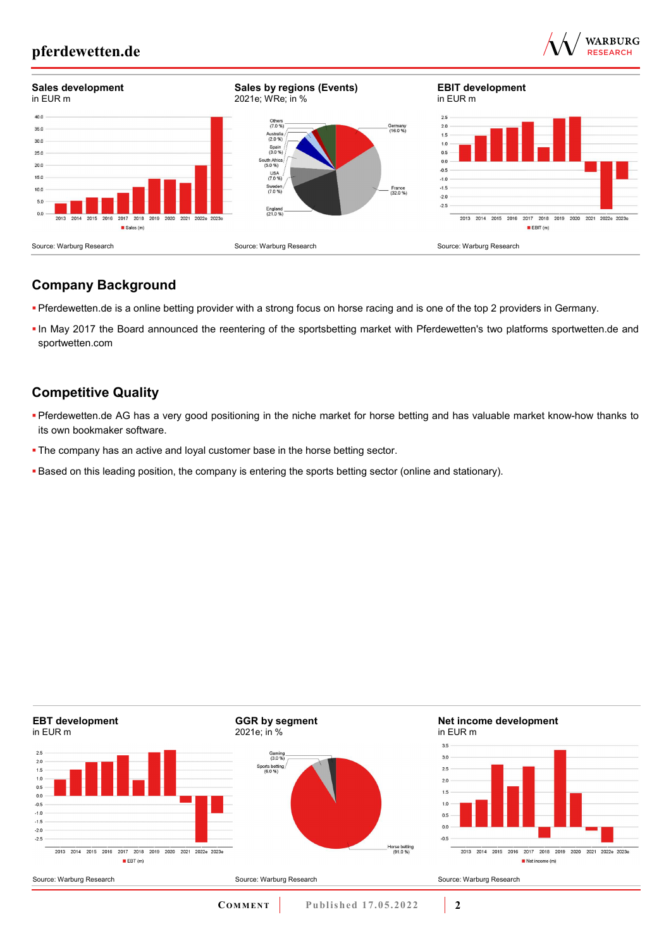



## **Company Background**

- Pferdewetten.de is a online betting provider with a strong focus on horse racing and is one of the top 2 providers in Germany.
- In May 2017 the Board announced the reentering of the sportsbetting market with Pferdewetten's two platforms sportwetten.de and sportwetten.com

## **Competitive Quality**

- Pferdewetten.de AG has a very good positioning in the niche market for horse betting and has valuable market know-how thanks to its own bookmaker software.
- **The company has an active and loyal customer base in the horse betting sector.**
- Based on this leading position, the company is entering the sports betting sector (online and stationary).

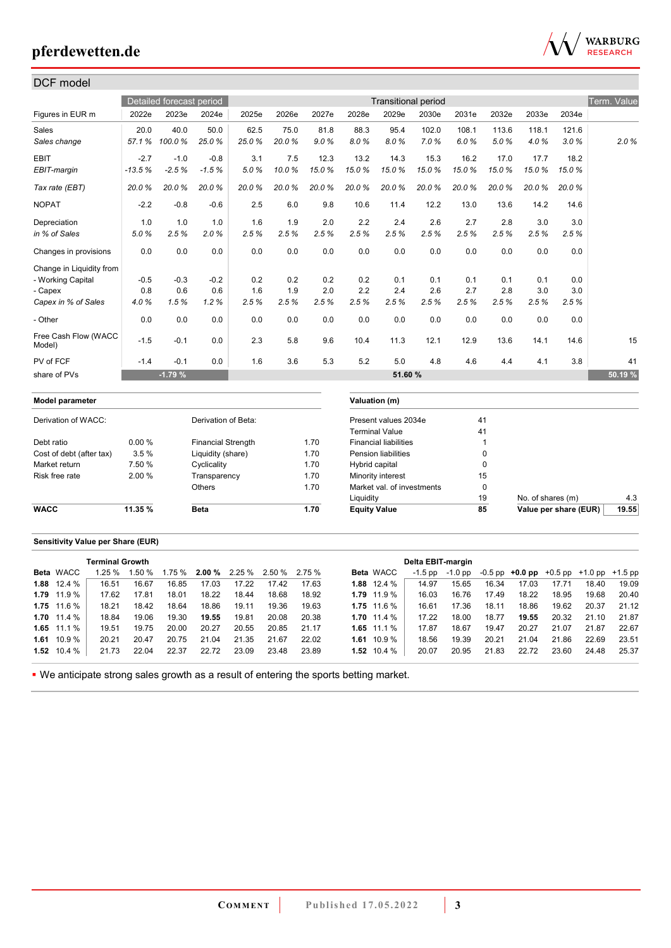

| DCF model                      |          |                          |                           |       |       |       |                     |                              |                            |       |              |                       |       |             |
|--------------------------------|----------|--------------------------|---------------------------|-------|-------|-------|---------------------|------------------------------|----------------------------|-------|--------------|-----------------------|-------|-------------|
|                                |          | Detailed forecast period |                           |       |       |       |                     |                              | <b>Transitional period</b> |       |              |                       |       | Term. Value |
| Figures in EUR m               | 2022e    | 2023e                    | 2024e                     | 2025e | 2026e | 2027e | 2028e               | 2029e                        | 2030e                      | 2031e | 2032e        | 2033e                 | 2034e |             |
| Sales                          | 20.0     | 40.0                     | 50.0                      | 62.5  | 75.0  | 81.8  | 88.3                | 95.4                         | 102.0                      | 108.1 | 113.6        | 118.1                 | 121.6 |             |
| Sales change                   | 57.1%    | 100.0%                   | 25.0%                     | 25.0% | 20.0% | 9.0%  | 8.0%                | 8.0%                         | 7.0%                       | 6.0%  | 5.0%         | 4.0%                  | 3.0%  | 2.0%        |
| <b>EBIT</b>                    | $-2.7$   | $-1.0$                   | $-0.8$                    | 3.1   | 7.5   | 12.3  | 13.2                | 14.3                         | 15.3                       | 16.2  | 17.0         | 17.7                  | 18.2  |             |
| EBIT-margin                    | $-13.5%$ | $-2.5%$                  | $-1.5%$                   | 5.0%  | 10.0% | 15.0% | 15.0%               | 15.0%                        | 15.0%                      | 15.0% | 15.0%        | 15.0%                 | 15.0% |             |
| Tax rate (EBT)                 | 20.0%    | 20.0%                    | 20.0%                     | 20.0% | 20.0% | 20.0% | 20.0%               | 20.0%                        | 20.0%                      | 20.0% | 20.0%        | 20.0%                 | 20.0% |             |
| <b>NOPAT</b>                   | $-2.2$   | $-0.8$                   | $-0.6$                    | 2.5   | 6.0   | 9.8   | 10.6                | 11.4                         | 12.2                       | 13.0  | 13.6         | 14.2                  | 14.6  |             |
| Depreciation                   | 1.0      | 1.0                      | 1.0                       | 1.6   | 1.9   | 2.0   | 2.2                 | 2.4                          | 2.6                        | 2.7   | 2.8          | 3.0                   | 3.0   |             |
| in % of Sales                  | 5.0%     | 2.5%                     | 2.0%                      | 2.5%  | 2.5%  | 2.5%  | 2.5%                | 2.5%                         | 2.5%                       | 2.5%  | 2.5%         | 2.5%                  | 2.5%  |             |
| Changes in provisions          | 0.0      | 0.0                      | 0.0                       | 0.0   | 0.0   | 0.0   | 0.0                 | 0.0                          | 0.0                        | 0.0   | 0.0          | 0.0                   | 0.0   |             |
| Change in Liquidity from       |          |                          |                           |       |       |       |                     |                              |                            |       |              |                       |       |             |
| - Working Capital              | $-0.5$   | $-0.3$                   | $-0.2$                    | 0.2   | 0.2   | 0.2   | 0.2                 | 0.1                          | 0.1                        | 0.1   | 0.1          | 0.1                   | 0.0   |             |
| - Capex                        | 0.8      | 0.6                      | 0.6                       | 1.6   | 1.9   | 2.0   | 2.2                 | 2.4                          | 2.6                        | 2.7   | 2.8          | 3.0                   | 3.0   |             |
| Capex in % of Sales            | 4.0%     | 1.5%                     | 1.2%                      | 2.5%  | 2.5%  | 2.5%  | 2.5%                | 2.5%                         | 2.5%                       | 2.5%  | 2.5%         | 2.5%                  | 2.5%  |             |
| - Other                        | 0.0      | 0.0                      | 0.0                       | 0.0   | 0.0   | 0.0   | 0.0                 | 0.0                          | 0.0                        | 0.0   | 0.0          | 0.0                   | 0.0   |             |
| Free Cash Flow (WACC<br>Model) | $-1.5$   | $-0.1$                   | 0.0                       | 2.3   | 5.8   | 9.6   | 10.4                | 11.3                         | 12.1                       | 12.9  | 13.6         | 14.1                  | 14.6  | 15          |
| PV of FCF                      | $-1.4$   | $-0.1$                   | 0.0                       | 1.6   | 3.6   | 5.3   | 5.2                 | 5.0                          | 4.8                        | 4.6   | 4.4          | 4.1                   | 3.8   | 41          |
| share of PVs                   |          | $-1.79%$                 |                           |       |       |       |                     | 51.60 %                      |                            |       |              |                       |       | 50.19 %     |
| Model parameter                |          |                          |                           |       |       |       | Valuation (m)       |                              |                            |       |              |                       |       |             |
| Derivation of WACC:            |          |                          | Derivation of Beta:       |       |       |       |                     | Present values 2034e         |                            |       | 41           |                       |       |             |
|                                |          |                          |                           |       |       |       |                     | <b>Terminal Value</b>        |                            |       | 41           |                       |       |             |
| Debt ratio                     | 0.00%    |                          | <b>Financial Strength</b> |       |       | 1.70  |                     | <b>Financial liabilities</b> |                            |       | $\mathbf{1}$ |                       |       |             |
| Cost of debt (after tax)       | 3.5%     |                          | Liquidity (share)         |       |       | 1.70  |                     | <b>Pension liabilities</b>   |                            |       | 0            |                       |       |             |
| Market return                  | 7.50 %   |                          | Cyclicality               |       |       | 1.70  | Hybrid capital      |                              |                            |       | $\mathbf 0$  |                       |       |             |
| Risk free rate                 | 2.00%    |                          | Transparency              |       |       | 1.70  |                     | Minority interest            |                            |       | 15           |                       |       |             |
|                                |          |                          | <b>Others</b>             |       |       | 1.70  |                     | Market val. of investments   |                            |       | $\mathbf 0$  |                       |       |             |
|                                |          |                          |                           |       |       |       | Liquidity           |                              |                            |       | 19           | No. of shares (m)     |       | 4.3         |
| <b>WACC</b>                    | 11.35 %  |                          | <b>Beta</b>               |       |       | 1.70  | <b>Equity Value</b> |                              |                            |       | 85           | Value per share (EUR) |       | 19.55       |
|                                |          |                          |                           |       |       |       |                     |                              |                            |       |              |                       |       |             |

### **Sensitivity Value per Share (EUR)**

|                      | <b>Terminal Growth</b> |        |       |       |       |                                      |       |                      | Delta EBIT-margin |       |       |                                                             |       |       |       |
|----------------------|------------------------|--------|-------|-------|-------|--------------------------------------|-------|----------------------|-------------------|-------|-------|-------------------------------------------------------------|-------|-------|-------|
| Beta WACC            | 1.25%                  | 1.50 % |       |       |       | $1.75\%$ 2.00 % 2.25 % 2.50 % 2.75 % |       | <b>Beta WACC</b>     | -1.5 pp           |       |       | $-1.0$ pp $-0.5$ pp $+0.0$ pp $+0.5$ pp $+1.0$ pp $+1.5$ pp |       |       |       |
| <b>1.88</b> 12.4 $%$ | 16.51                  | 16.67  | 16.85 | 17.03 | 17.22 | 17.42                                | 17.63 | <b>1.88</b> 12.4 $%$ | 14.97             | 15.65 | 16.34 | 17.03                                                       | 17.71 | 18.40 | 19.09 |
| $1.79$ 11.9 %        | 17.62                  | 17.81  | 18.01 | 18.22 | 18.44 | 18.68                                | 18.92 | 1.79 11.9 %          | 16.03             | 16.76 | 17.49 | 18.22                                                       | 18.95 | 19.68 | 20.40 |
| $1.75$ 11.6 %        | 18.21                  | 18.42  | 18.64 | 18.86 | 19.11 | 19.36                                | 19.63 | $1.75$ 11.6 %        | 16.61             | 17.36 | 18.11 | 18.86                                                       | 19.62 | 20.37 | 21.12 |
| 1.70 $11.4\%$        | 18.84                  | 19.06  | 19.30 | 19.55 | 19.81 | 20.08                                | 20.38 | $1.70$ 11.4 %        | 17.22             | 18.00 | 18.77 | 19.55                                                       | 20.32 | 21.10 | 21.87 |
| $1.65$ 11.1 %        | 19.51                  | 19.75  | 20.00 | 20.27 | 20.55 | 20.85                                | 21.17 | <b>1.65</b> 11.1 %   | 17.87             | 18.67 | 19.47 | 20.27                                                       | 21.07 | 21.87 | 22.67 |
| $1.61$ 10.9 %        | 20.21                  | 20.47  | 20.75 | 21.04 | 21.35 | 21.67                                | 22.02 | 1.61 10.9 %          | 18.56             | 19.39 | 20.21 | 21.04                                                       | 21.86 | 22.69 | 23.51 |
| 1.52 $10.4\%$        | 21.73                  | 22.04  | 22.37 | 22.72 | 23.09 | 23.48                                | 23.89 | 1.52 $10.4\%$        | 20.07             | 20.95 | 21.83 | 22.72                                                       | 23.60 | 24.48 | 25.37 |

We anticipate strong sales growth as a result of entering the sports betting market.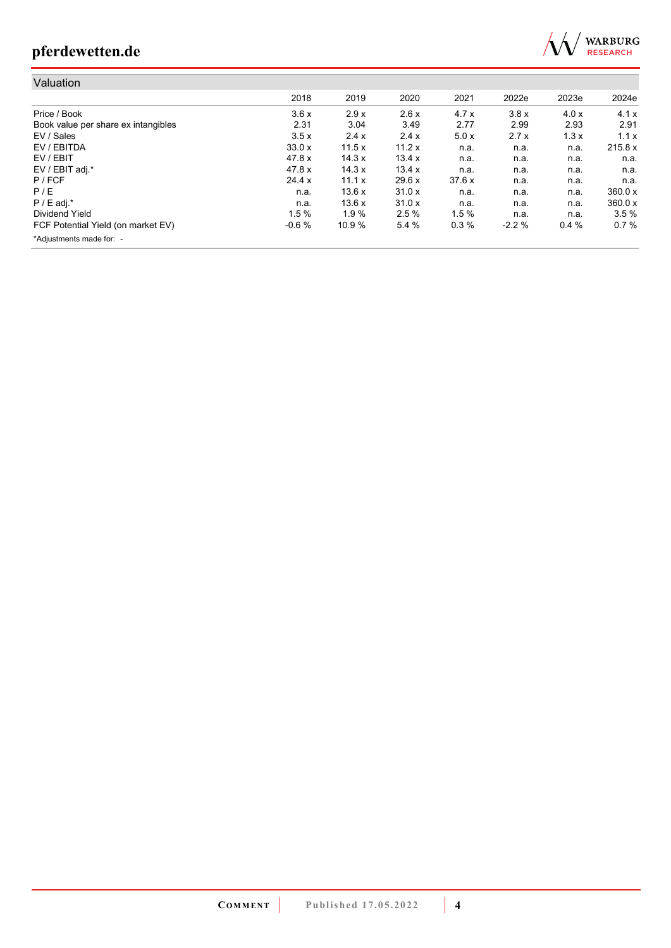

| Valuation                           |         |        |        |       |         |       |         |
|-------------------------------------|---------|--------|--------|-------|---------|-------|---------|
|                                     | 2018    | 2019   | 2020   | 2021  | 2022e   | 2023e | 2024e   |
| Price / Book                        | 3.6x    | 2.9x   | 2.6x   | 4.7x  | 3.8x    | 4.0x  | 4.1x    |
| Book value per share ex intangibles | 2.31    | 3.04   | 3.49   | 2.77  | 2.99    | 2.93  | 2.91    |
| EV / Sales                          | 3.5x    | 2.4x   | 2.4x   | 5.0x  | 2.7x    | 1.3x  | 1.1x    |
| EV / EBITDA                         | 33.0x   | 11.5x  | 11.2x  | n.a.  | n.a.    | n.a.  | 215.8 x |
| EV / EBIT                           | 47.8 x  | 14.3 x | 13.4 x | n.a.  | n.a.    | n.a.  | n.a.    |
| EV / EBIT adj.*                     | 47.8 x  | 14.3 x | 13.4 x | n.a.  | n.a.    | n.a.  | n.a.    |
| $P$ / FCF                           | 24.4 x  | 11.1 x | 29.6x  | 37.6x | n.a.    | n.a.  | n.a.    |
| P/E                                 | n.a.    | 13.6x  | 31.0x  | n.a.  | n.a.    | n.a.  | 360.0 x |
| $P / E$ adj.*                       | n.a.    | 13.6x  | 31.0x  | n.a.  | n.a.    | n.a.  | 360.0 x |
| Dividend Yield                      | 1.5%    | 1.9%   | 2.5%   | 1.5%  | n.a.    | n.a.  | 3.5%    |
| FCF Potential Yield (on market EV)  | $-0.6%$ | 10.9 % | 5.4 %  | 0.3%  | $-2.2%$ | 0.4%  | 0.7%    |
| *Adjustments made for: -            |         |        |        |       |         |       |         |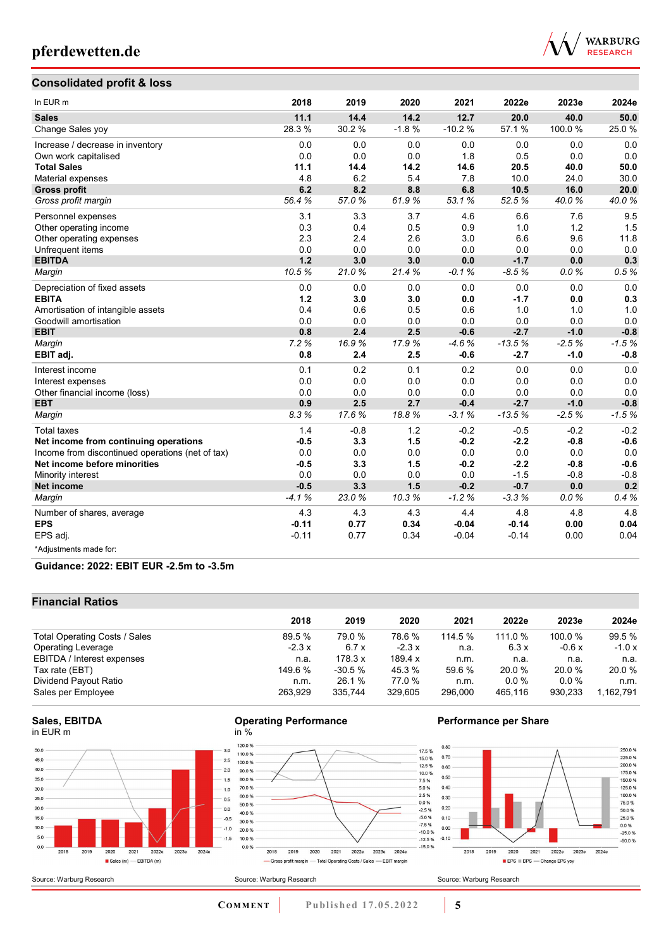

### **Consolidated profit & loss**

| In EUR <sub>m</sub>                              | 2018    | 2019   | 2020    | 2021     | 2022e    | 2023e   | 2024e   |
|--------------------------------------------------|---------|--------|---------|----------|----------|---------|---------|
| <b>Sales</b>                                     | 11.1    | 14.4   | 14.2    | 12.7     | 20.0     | 40.0    | 50.0    |
| Change Sales yoy                                 | 28.3 %  | 30.2 % | $-1.8%$ | $-10.2%$ | 57.1 %   | 100.0%  | 25.0%   |
| Increase / decrease in inventory                 | 0.0     | 0.0    | 0.0     | 0.0      | 0.0      | 0.0     | 0.0     |
| Own work capitalised                             | 0.0     | 0.0    | 0.0     | 1.8      | 0.5      | 0.0     | 0.0     |
| <b>Total Sales</b>                               | 11.1    | 14.4   | 14.2    | 14.6     | 20.5     | 40.0    | 50.0    |
| Material expenses                                | 4.8     | 6.2    | 5.4     | 7.8      | 10.0     | 24.0    | 30.0    |
| <b>Gross profit</b>                              | 6.2     | 8.2    | 8.8     | 6.8      | 10.5     | 16.0    | 20.0    |
| Gross profit margin                              | 56.4%   | 57.0%  | 61.9%   | 53.1%    | 52.5%    | 40.0%   | 40.0%   |
| Personnel expenses                               | 3.1     | 3.3    | 3.7     | 4.6      | 6.6      | 7.6     | 9.5     |
| Other operating income                           | 0.3     | 0.4    | 0.5     | 0.9      | 1.0      | 1.2     | 1.5     |
| Other operating expenses                         | 2.3     | 2.4    | 2.6     | 3.0      | 6.6      | 9.6     | 11.8    |
| Unfrequent items                                 | 0.0     | 0.0    | 0.0     | 0.0      | 0.0      | 0.0     | 0.0     |
| <b>EBITDA</b>                                    | 1.2     | 3.0    | 3.0     | 0.0      | $-1.7$   | 0.0     | 0.3     |
| Margin                                           | 10.5%   | 21.0%  | 21.4%   | $-0.1%$  | $-8.5%$  | 0.0%    | 0.5%    |
| Depreciation of fixed assets                     | 0.0     | 0.0    | 0.0     | 0.0      | 0.0      | 0.0     | 0.0     |
| <b>EBITA</b>                                     | $1.2$   | 3.0    | 3.0     | 0.0      | $-1.7$   | 0.0     | 0.3     |
| Amortisation of intangible assets                | 0.4     | 0.6    | 0.5     | 0.6      | 1.0      | 1.0     | 1.0     |
| Goodwill amortisation                            | 0.0     | 0.0    | 0.0     | 0.0      | 0.0      | 0.0     | 0.0     |
| <b>EBIT</b>                                      | 0.8     | 2.4    | 2.5     | $-0.6$   | $-2.7$   | $-1.0$  | $-0.8$  |
| Margin                                           | 7.2%    | 16.9%  | 17.9%   | $-4.6%$  | $-13.5%$ | $-2.5%$ | $-1.5%$ |
| EBIT adj.                                        | 0.8     | 2.4    | 2.5     | $-0.6$   | $-2.7$   | $-1.0$  | $-0.8$  |
| Interest income                                  | 0.1     | 0.2    | 0.1     | 0.2      | 0.0      | 0.0     | 0.0     |
| Interest expenses                                | 0.0     | 0.0    | 0.0     | 0.0      | 0.0      | 0.0     | 0.0     |
| Other financial income (loss)                    | 0.0     | 0.0    | 0.0     | 0.0      | 0.0      | 0.0     | 0.0     |
| <b>EBT</b>                                       | 0.9     | 2.5    | 2.7     | $-0.4$   | $-2.7$   | $-1.0$  | $-0.8$  |
| Margin                                           | 8.3%    | 17.6%  | 18.8%   | $-3.1%$  | $-13.5%$ | $-2.5%$ | $-1.5%$ |
| <b>Total taxes</b>                               | 1.4     | $-0.8$ | 1.2     | $-0.2$   | $-0.5$   | $-0.2$  | $-0.2$  |
| Net income from continuing operations            | $-0.5$  | 3.3    | 1.5     | $-0.2$   | $-2.2$   | $-0.8$  | $-0.6$  |
| Income from discontinued operations (net of tax) | 0.0     | 0.0    | 0.0     | 0.0      | 0.0      | 0.0     | 0.0     |
| Net income before minorities                     | $-0.5$  | 3.3    | 1.5     | $-0.2$   | $-2.2$   | $-0.8$  | $-0.6$  |
| Minority interest                                | 0.0     | 0.0    | 0.0     | 0.0      | $-1.5$   | $-0.8$  | $-0.8$  |
| <b>Net income</b>                                | $-0.5$  | 3.3    | 1.5     | $-0.2$   | $-0.7$   | 0.0     | 0.2     |
| Margin                                           | $-4.1%$ | 23.0%  | 10.3%   | $-1.2%$  | $-3.3%$  | 0.0%    | 0.4%    |
| Number of shares, average                        | 4.3     | 4.3    | 4.3     | 4.4      | 4.8      | 4.8     | 4.8     |
| <b>EPS</b>                                       | $-0.11$ | 0.77   | 0.34    | $-0.04$  | $-0.14$  | 0.00    | 0.04    |
| EPS adj.                                         | $-0.11$ | 0.77   | 0.34    | $-0.04$  | $-0.14$  | 0.00    | 0.04    |
| *Adjustments made for:                           |         |        |         |          |          |         |         |

### **Guidance: 2022: EBIT EUR -2.5m to -3.5m**

### **Financial Ratios**

Source: Warburg Research

|                               | 2018    | 2019     | 2020           | 2021    | 2022e   | 2023e   | 2024e     |
|-------------------------------|---------|----------|----------------|---------|---------|---------|-----------|
| Total Operating Costs / Sales | 89.5 %  | 79.0 %   | 78.6 %         | 114.5%  | 111.0 % | 100.0%  | 99.5 %    |
| <b>Operating Leverage</b>     | $-2.3x$ | 6.7 x    | $-2.3x$        | n.a.    | 6.3x    | $-0.6x$ | $-1.0x$   |
| EBITDA / Interest expenses    | n.a.    | 178.3 x  | 189.4 $\times$ | n.m.    | n.a.    | n.a.    | n.a.      |
| Tax rate (EBT)                | 149.6 % | $-30.5%$ | 45.3%          | 59.6 %  | 20.0 %  | 20.0%   | 20.0 %    |
| Dividend Payout Ratio         | n.m.    | 26.1 %   | 77.0 %         | n.m.    | 0.0%    | $0.0\%$ | n.m.      |
| Sales per Employee            | 263.929 | 335.744  | 329.605        | 296.000 | 465.116 | 930.233 | 1,162,791 |



#### **Operating Performance** in %



### **Performance per Share**



**COMMENT** Published 17.05.2022 **5** 

Source: Warburg Research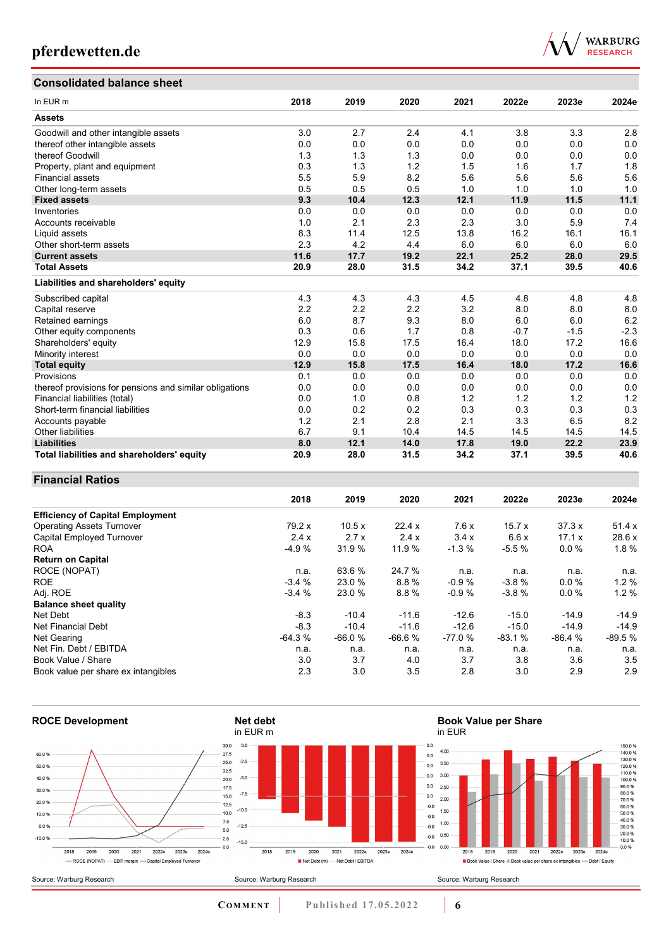# **Consolidated balance sheet**



 $\begin{array}{l} 150.0~\% \\ 140.0~\% \\ 130.0~\% \\ 120.0~\% \\ 100.0~\% \\ 100.0~\% \\ 100.0~\% \\ 90.0~\% \\ 60.0~\% \\ 60.0~\% \\ 90.0~\% \\ 90.0~\% \\ 10.0~\% \\ 10.0~\% \\ \end{array}$ 

| <b>CONSONUALED DAIANCE SHEEL</b>                        |      |      |      |      |        |        |        |
|---------------------------------------------------------|------|------|------|------|--------|--------|--------|
| In EUR m                                                | 2018 | 2019 | 2020 | 2021 | 2022e  | 2023e  | 2024e  |
| <b>Assets</b>                                           |      |      |      |      |        |        |        |
| Goodwill and other intangible assets                    | 3.0  | 2.7  | 2.4  | 4.1  | 3.8    | 3.3    | 2.8    |
| thereof other intangible assets                         | 0.0  | 0.0  | 0.0  | 0.0  | 0.0    | 0.0    | 0.0    |
| thereof Goodwill                                        | 1.3  | 1.3  | 1.3  | 0.0  | 0.0    | 0.0    | 0.0    |
| Property, plant and equipment                           | 0.3  | 1.3  | 1.2  | 1.5  | 1.6    | 1.7    | 1.8    |
| <b>Financial assets</b>                                 | 5.5  | 5.9  | 8.2  | 5.6  | 5.6    | 5.6    | 5.6    |
| Other long-term assets                                  | 0.5  | 0.5  | 0.5  | 1.0  | 1.0    | 1.0    | 1.0    |
| <b>Fixed assets</b>                                     | 9.3  | 10.4 | 12.3 | 12.1 | 11.9   | 11.5   | 11.1   |
| Inventories                                             | 0.0  | 0.0  | 0.0  | 0.0  | 0.0    | 0.0    | 0.0    |
| Accounts receivable                                     | 1.0  | 2.1  | 2.3  | 2.3  | 3.0    | 5.9    | 7.4    |
| Liquid assets                                           | 8.3  | 11.4 | 12.5 | 13.8 | 16.2   | 16.1   | 16.1   |
| Other short-term assets                                 | 2.3  | 4.2  | 4.4  | 6.0  | 6.0    | 6.0    | 6.0    |
| <b>Current assets</b>                                   | 11.6 | 17.7 | 19.2 | 22.1 | 25.2   | 28.0   | 29.5   |
| <b>Total Assets</b>                                     | 20.9 | 28.0 | 31.5 | 34.2 | 37.1   | 39.5   | 40.6   |
| Liabilities and shareholders' equity                    |      |      |      |      |        |        |        |
| Subscribed capital                                      | 4.3  | 4.3  | 4.3  | 4.5  | 4.8    | 4.8    | 4.8    |
| Capital reserve                                         | 2.2  | 2.2  | 2.2  | 3.2  | 8.0    | 8.0    | 8.0    |
| Retained earnings                                       | 6.0  | 8.7  | 9.3  | 8.0  | 6.0    | 6.0    | 6.2    |
| Other equity components                                 | 0.3  | 0.6  | 1.7  | 0.8  | $-0.7$ | $-1.5$ | $-2.3$ |
| Shareholders' equity                                    | 12.9 | 15.8 | 17.5 | 16.4 | 18.0   | 17.2   | 16.6   |
| Minority interest                                       | 0.0  | 0.0  | 0.0  | 0.0  | 0.0    | 0.0    | 0.0    |
| <b>Total equity</b>                                     | 12.9 | 15.8 | 17.5 | 16.4 | 18.0   | 17.2   | 16.6   |
| Provisions                                              | 0.1  | 0.0  | 0.0  | 0.0  | 0.0    | 0.0    | 0.0    |
| thereof provisions for pensions and similar obligations | 0.0  | 0.0  | 0.0  | 0.0  | 0.0    | 0.0    | 0.0    |
| Financial liabilities (total)                           | 0.0  | 1.0  | 0.8  | 1.2  | 1.2    | 1.2    | 1.2    |
| Short-term financial liabilities                        | 0.0  | 0.2  | 0.2  | 0.3  | 0.3    | 0.3    | 0.3    |
| Accounts payable                                        | 1.2  | 2.1  | 2.8  | 2.1  | 3.3    | 6.5    | 8.2    |
| Other liabilities                                       | 6.7  | 9.1  | 10.4 | 14.5 | 14.5   | 14.5   | 14.5   |
| <b>Liabilities</b>                                      | 8.0  | 12.1 | 14.0 | 17.8 | 19.0   | 22.2   | 23.9   |
| Total liabilities and shareholders' equity              | 20.9 | 28.0 | 31.5 | 34.2 | 37.1   | 39.5   | 40.6   |

### **Financial Ratios**

|                                         | 2018     | 2019     | 2020     | 2021     | 2022e    | 2023e    | 2024e    |
|-----------------------------------------|----------|----------|----------|----------|----------|----------|----------|
| <b>Efficiency of Capital Employment</b> |          |          |          |          |          |          |          |
| <b>Operating Assets Turnover</b>        | 79.2 x   | 10.5x    | 22.4x    | 7.6x     | 15.7x    | 37.3x    | 51.4x    |
| Capital Employed Turnover               | 2.4x     | 2.7x     | 2.4x     | 3.4x     | 6.6x     | 17.1 x   | 28.6 x   |
| <b>ROA</b>                              | $-4.9%$  | 31.9%    | 11.9 %   | $-1.3%$  | $-5.5%$  | 0.0%     | 1.8%     |
| <b>Return on Capital</b>                |          |          |          |          |          |          |          |
| ROCE (NOPAT)                            | n.a.     | 63.6 %   | 24.7 %   | n.a.     | n.a.     | n.a.     | n.a.     |
| <b>ROE</b>                              | $-3.4%$  | 23.0 %   | 8.8%     | $-0.9%$  | $-3.8%$  | 0.0%     | 1.2%     |
| Adj. ROE                                | $-3.4%$  | 23.0 %   | 8.8%     | $-0.9%$  | $-3.8%$  | $0.0\%$  | 1.2%     |
| <b>Balance sheet quality</b>            |          |          |          |          |          |          |          |
| Net Debt                                | $-8.3$   | $-10.4$  | $-11.6$  | $-12.6$  | $-15.0$  | $-14.9$  | $-14.9$  |
| Net Financial Debt                      | $-8.3$   | $-10.4$  | $-11.6$  | $-12.6$  | $-15.0$  | $-14.9$  | $-14.9$  |
| Net Gearing                             | $-64.3%$ | $-66.0%$ | $-66.6%$ | $-77.0%$ | $-83.1%$ | $-86.4%$ | $-89.5%$ |
| Net Fin. Debt / EBITDA                  | n.a.     | n.a.     | n.a.     | n.a.     | n.a.     | n.a.     | n.a.     |
| Book Value / Share                      | 3.0      | 3.7      | 4.0      | 3.7      | 3.8      | 3.6      | 3.5      |
| Book value per share ex intangibles     | 2.3      | 3.0      | 3.5      | 2.8      | 3.0      | 2.9      | 2.9      |



**COMMENT** Published 17.05.2022 **6**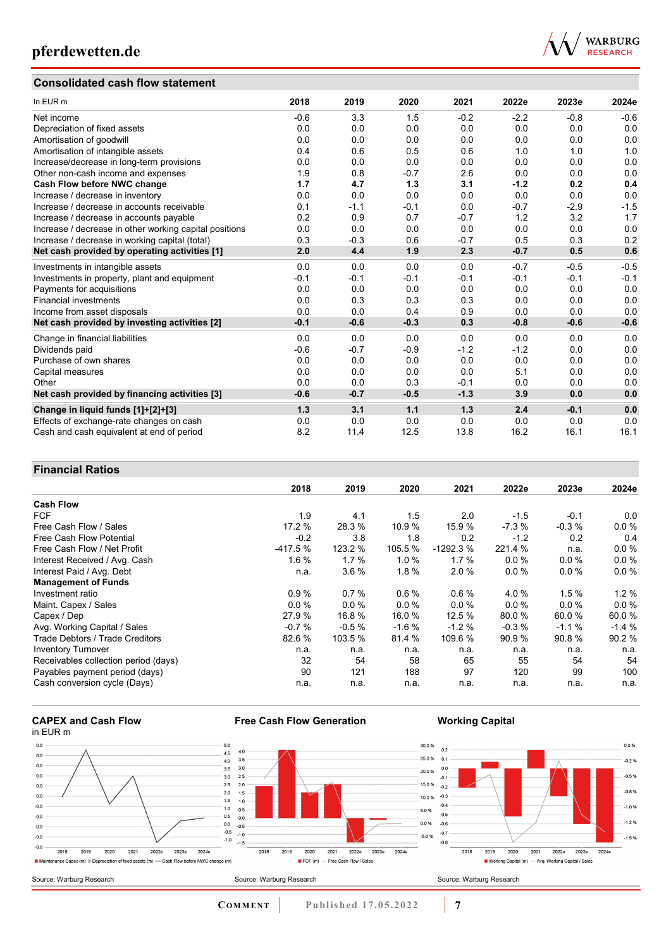### **Consolidated cash flow statement**



| In EUR m                                               | 2018   | 2019   | 2020   | 2021   | 2022e  | 2023e  | 2024e  |
|--------------------------------------------------------|--------|--------|--------|--------|--------|--------|--------|
| Net income                                             | $-0.6$ | 3.3    | 1.5    | $-0.2$ | $-2.2$ | $-0.8$ | $-0.6$ |
| Depreciation of fixed assets                           | 0.0    | 0.0    | 0.0    | 0.0    | 0.0    | 0.0    | 0.0    |
| Amortisation of goodwill                               | 0.0    | 0.0    | 0.0    | 0.0    | 0.0    | 0.0    | 0.0    |
| Amortisation of intangible assets                      | 0.4    | 0.6    | 0.5    | 0.6    | 1.0    | 1.0    | 1.0    |
| Increase/decrease in long-term provisions              | 0.0    | 0.0    | 0.0    | 0.0    | 0.0    | 0.0    | 0.0    |
| Other non-cash income and expenses                     | 1.9    | 0.8    | $-0.7$ | 2.6    | 0.0    | 0.0    | 0.0    |
| Cash Flow before NWC change                            | 1.7    | 4.7    | 1.3    | 3.1    | $-1.2$ | 0.2    | 0.4    |
| Increase / decrease in inventory                       | 0.0    | 0.0    | 0.0    | 0.0    | 0.0    | 0.0    | 0.0    |
| Increase / decrease in accounts receivable             | 0.1    | $-1.1$ | $-0.1$ | 0.0    | $-0.7$ | $-2.9$ | $-1.5$ |
| Increase / decrease in accounts payable                | 0.2    | 0.9    | 0.7    | $-0.7$ | 1.2    | 3.2    | 1.7    |
| Increase / decrease in other working capital positions | 0.0    | 0.0    | 0.0    | 0.0    | 0.0    | 0.0    | 0.0    |
| Increase / decrease in working capital (total)         | 0.3    | $-0.3$ | 0.6    | $-0.7$ | 0.5    | 0.3    | 0.2    |
| Net cash provided by operating activities [1]          | 2.0    | 4.4    | 1.9    | 2.3    | $-0.7$ | 0.5    | 0.6    |
| Investments in intangible assets                       | 0.0    | 0.0    | 0.0    | 0.0    | $-0.7$ | $-0.5$ | $-0.5$ |
| Investments in property, plant and equipment           | $-0.1$ | $-0.1$ | $-0.1$ | $-0.1$ | $-0.1$ | $-0.1$ | $-0.1$ |
| Payments for acquisitions                              | 0.0    | 0.0    | 0.0    | 0.0    | 0.0    | 0.0    | 0.0    |
| <b>Financial investments</b>                           | 0.0    | 0.3    | 0.3    | 0.3    | 0.0    | 0.0    | 0.0    |
| Income from asset disposals                            | 0.0    | 0.0    | 0.4    | 0.9    | 0.0    | 0.0    | 0.0    |
| Net cash provided by investing activities [2]          | $-0.1$ | $-0.6$ | $-0.3$ | 0.3    | $-0.8$ | $-0.6$ | $-0.6$ |
| Change in financial liabilities                        | 0.0    | 0.0    | 0.0    | 0.0    | 0.0    | 0.0    | 0.0    |
| Dividends paid                                         | $-0.6$ | $-0.7$ | $-0.9$ | $-1.2$ | $-1.2$ | 0.0    | 0.0    |
| Purchase of own shares                                 | 0.0    | 0.0    | 0.0    | 0.0    | 0.0    | 0.0    | 0.0    |
| Capital measures                                       | 0.0    | 0.0    | 0.0    | 0.0    | 5.1    | 0.0    | 0.0    |
| Other                                                  | 0.0    | 0.0    | 0.3    | $-0.1$ | 0.0    | 0.0    | 0.0    |
| Net cash provided by financing activities [3]          | $-0.6$ | $-0.7$ | $-0.5$ | $-1.3$ | 3.9    | 0.0    | 0.0    |
| Change in liquid funds [1]+[2]+[3]                     | 1.3    | 3.1    | 1.1    | 1.3    | 2.4    | $-0.1$ | 0.0    |
| Effects of exchange-rate changes on cash               | 0.0    | 0.0    | 0.0    | 0.0    | 0.0    | 0.0    | 0.0    |
| Cash and cash equivalent at end of period              | 8.2    | 11.4   | 12.5   | 13.8   | 16.2   | 16.1   | 16.1   |

### **Financial Ratios**

|                                        | 2018      | 2019    | 2020     | 2021       | 2022e   | 2023e   | 2024e    |
|----------------------------------------|-----------|---------|----------|------------|---------|---------|----------|
| <b>Cash Flow</b>                       |           |         |          |            |         |         |          |
| <b>FCF</b>                             | 1.9       | 4.1     | 1.5      | 2.0        | $-1.5$  | $-0.1$  | 0.0      |
| Free Cash Flow / Sales                 | 17.2 %    | 28.3 %  | 10.9%    | 15.9 %     | $-7.3%$ | $-0.3%$ | 0.0%     |
| <b>Free Cash Flow Potential</b>        | $-0.2$    | 3.8     | 1.8      | 0.2        | $-1.2$  | 0.2     | 0.4      |
| Free Cash Flow / Net Profit            | $-417.5%$ | 123.2 % | 105.5 %  | $-1292.3%$ | 221.4 % | n.a.    | $0.0 \%$ |
| Interest Received / Avg. Cash          | 1.6%      | 1.7%    | $1.0 \%$ | 1.7%       | $0.0\%$ | $0.0\%$ | 0.0%     |
| Interest Paid / Avg. Debt              | n.a.      | 3.6%    | 1.8%     | 2.0%       | 0.0 %   | $0.0\%$ | 0.0 %    |
| <b>Management of Funds</b>             |           |         |          |            |         |         |          |
| Investment ratio                       | 0.9%      | 0.7%    | $0.6\%$  | 0.6%       | 4.0 %   | 1.5%    | $1.2 \%$ |
| Maint. Capex / Sales                   | 0.0%      | $0.0\%$ | 0.0%     | $0.0\%$    | $0.0\%$ | $0.0\%$ | 0.0%     |
| Capex / Dep                            | 27.9 %    | 16.8 %  | 16.0 %   | 12.5%      | 80.0 %  | 60.0%   | 60.0%    |
| Avg. Working Capital / Sales           | $-0.7%$   | $-0.5%$ | $-1.6%$  | $-1.2%$    | $-0.3%$ | $-1.1%$ | $-1.4%$  |
| <b>Trade Debtors / Trade Creditors</b> | 82.6 %    | 103.5 % | 81.4 %   | 109.6 %    | 90.9 %  | 90.8%   | 90.2%    |
| <b>Inventory Turnover</b>              | n.a.      | n.a.    | n.a.     | n.a.       | n.a.    | n.a.    | n.a.     |
| Receivables collection period (days)   | 32        | 54      | 58       | 65         | 55      | 54      | 54       |
| Payables payment period (days)         | 90        | 121     | 188      | 97         | 120     | 99      | 100      |
| Cash conversion cycle (Days)           | n.a.      | n.a.    | n.a.     | n.a.       | n.a.    | n.a.    | n.a.     |





**Free Cash Flow Generation**

**COMMENT** Published 17.05.2022 7

**Working Capital**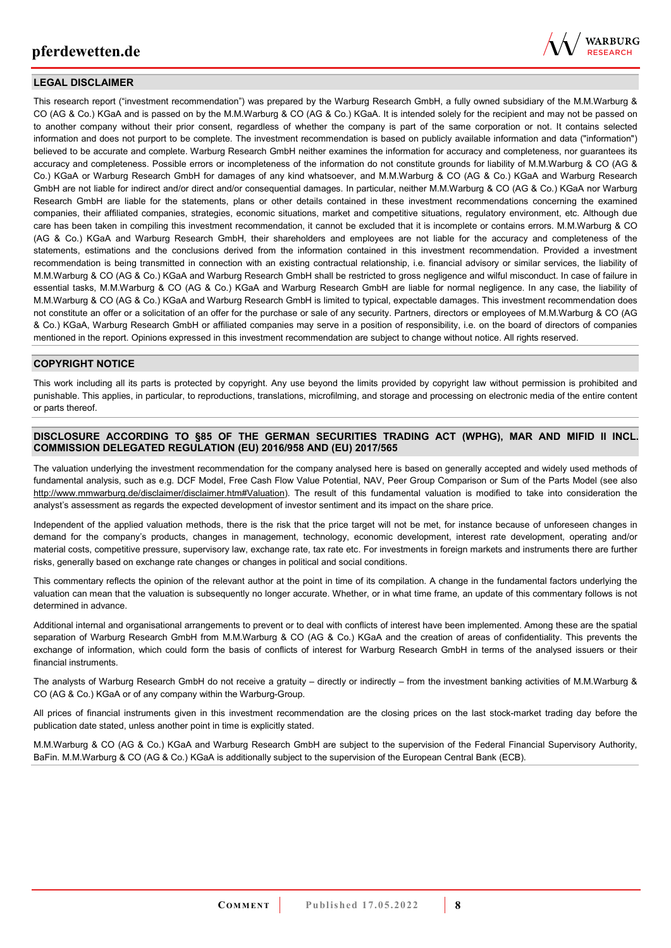

### **LEGAL DISCLAIMER**

This research report ("investment recommendation") was prepared by the Warburg Research GmbH, a fully owned subsidiary of the M.M.Warburg & CO (AG & Co.) KGaA and is passed on by the M.M.Warburg & CO (AG & Co.) KGaA. It is intended solely for the recipient and may not be passed on to another company without their prior consent, regardless of whether the company is part of the same corporation or not. It contains selected information and does not purport to be complete. The investment recommendation is based on publicly available information and data ("information") believed to be accurate and complete. Warburg Research GmbH neither examines the information for accuracy and completeness, nor guarantees its accuracy and completeness. Possible errors or incompleteness of the information do not constitute grounds for liability of M.M.Warburg & CO (AG & Co.) KGaA or Warburg Research GmbH for damages of any kind whatsoever, and M.M.Warburg & CO (AG & Co.) KGaA and Warburg Research GmbH are not liable for indirect and/or direct and/or consequential damages. In particular, neither M.M.Warburg & CO (AG & Co.) KGaA nor Warburg Research GmbH are liable for the statements, plans or other details contained in these investment recommendations concerning the examined companies, their affiliated companies, strategies, economic situations, market and competitive situations, regulatory environment, etc. Although due care has been taken in compiling this investment recommendation, it cannot be excluded that it is incomplete or contains errors. M.M.Warburg & CO (AG & Co.) KGaA and Warburg Research GmbH, their shareholders and employees are not liable for the accuracy and completeness of the statements, estimations and the conclusions derived from the information contained in this investment recommendation. Provided a investment recommendation is being transmitted in connection with an existing contractual relationship, i.e. financial advisory or similar services, the liability of M.M.Warburg & CO (AG & Co.) KGaA and Warburg Research GmbH shall be restricted to gross negligence and wilful misconduct. In case of failure in essential tasks, M.M.Warburg & CO (AG & Co.) KGaA and Warburg Research GmbH are liable for normal negligence. In any case, the liability of M.M.Warburg & CO (AG & Co.) KGaA and Warburg Research GmbH is limited to typical, expectable damages. This investment recommendation does not constitute an offer or a solicitation of an offer for the purchase or sale of any security. Partners, directors or employees of M.M.Warburg & CO (AG & Co.) KGaA, Warburg Research GmbH or affiliated companies may serve in a position of responsibility, i.e. on the board of directors of companies mentioned in the report. Opinions expressed in this investment recommendation are subject to change without notice. All rights reserved.

### **COPYRIGHT NOTICE**

This work including all its parts is protected by copyright. Any use beyond the limits provided by copyright law without permission is prohibited and punishable. This applies, in particular, to reproductions, translations, microfilming, and storage and processing on electronic media of the entire content or parts thereof.

### **DISCLOSURE ACCORDING TO §85 OF THE GERMAN SECURITIES TRADING ACT (WPHG), MAR AND MIFID II INCL. COMMISSION DELEGATED REGULATION (EU) 2016/958 AND (EU) 2017/565**

The valuation underlying the investment recommendation for the company analysed here is based on generally accepted and widely used methods of fundamental analysis, such as e.g. DCF Model, Free Cash Flow Value Potential, NAV, Peer Group Comparison or Sum of the Parts Model (see also [http://www.mmwarburg.de/disclaimer/disclaimer.htm#Valuation\)](http://www.mmwarburg.de/disclaimer/disclaimer.htm#Valuation). The result of this fundamental valuation is modified to take into consideration the analyst's assessment as regards the expected development of investor sentiment and its impact on the share price.

Independent of the applied valuation methods, there is the risk that the price target will not be met, for instance because of unforeseen changes in demand for the company's products, changes in management, technology, economic development, interest rate development, operating and/or material costs, competitive pressure, supervisory law, exchange rate, tax rate etc. For investments in foreign markets and instruments there are further risks, generally based on exchange rate changes or changes in political and social conditions.

This commentary reflects the opinion of the relevant author at the point in time of its compilation. A change in the fundamental factors underlying the valuation can mean that the valuation is subsequently no longer accurate. Whether, or in what time frame, an update of this commentary follows is not determined in advance.

Additional internal and organisational arrangements to prevent or to deal with conflicts of interest have been implemented. Among these are the spatial separation of Warburg Research GmbH from M.M.Warburg & CO (AG & Co.) KGaA and the creation of areas of confidentiality. This prevents the exchange of information, which could form the basis of conflicts of interest for Warburg Research GmbH in terms of the analysed issuers or their financial instruments.

The analysts of Warburg Research GmbH do not receive a gratuity – directly or indirectly – from the investment banking activities of M.M.Warburg & CO (AG & Co.) KGaA or of any company within the Warburg-Group.

All prices of financial instruments given in this investment recommendation are the closing prices on the last stock-market trading day before the publication date stated, unless another point in time is explicitly stated.

M.M.Warburg & CO (AG & Co.) KGaA and Warburg Research GmbH are subject to the supervision of the Federal Financial Supervisory Authority, BaFin. M.M.Warburg & CO (AG & Co.) KGaA is additionally subject to the supervision of the European Central Bank (ECB).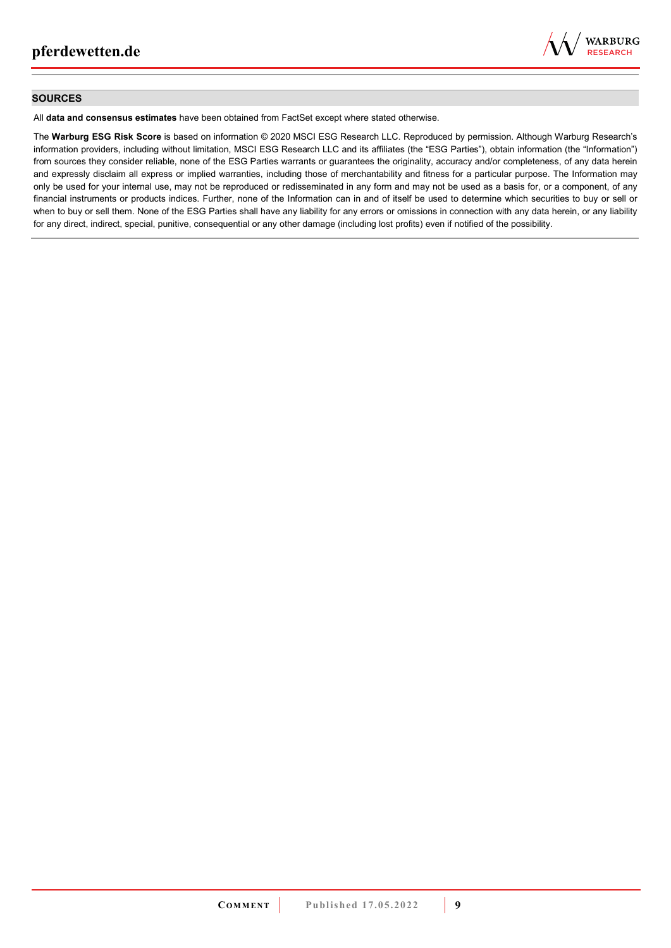

### **SOURCES**

All **data and consensus estimates** have been obtained from FactSet except where stated otherwise.

The **Warburg ESG Risk Score** is based on information © 2020 MSCI ESG Research LLC. Reproduced by permission. Although Warburg Research's information providers, including without limitation, MSCI ESG Research LLC and its affiliates (the "ESG Parties"), obtain information (the "Information") from sources they consider reliable, none of the ESG Parties warrants or guarantees the originality, accuracy and/or completeness, of any data herein and expressly disclaim all express or implied warranties, including those of merchantability and fitness for a particular purpose. The Information may only be used for your internal use, may not be reproduced or redisseminated in any form and may not be used as a basis for, or a component, of any financial instruments or products indices. Further, none of the Information can in and of itself be used to determine which securities to buy or sell or when to buy or sell them. None of the ESG Parties shall have any liability for any errors or omissions in connection with any data herein, or any liability for any direct, indirect, special, punitive, consequential or any other damage (including lost profits) even if notified of the possibility.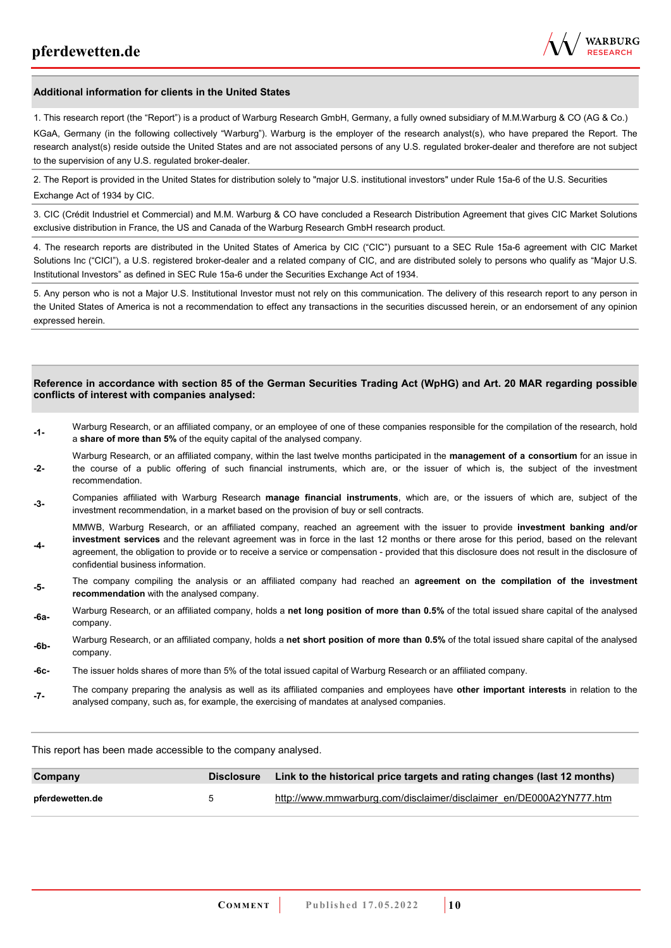

#### **Additional information for clients in the United States**

1. This research report (the "Report") is a product of Warburg Research GmbH, Germany, a fully owned subsidiary of M.M.Warburg & CO (AG & Co.)

KGaA, Germany (in the following collectively "Warburg"). Warburg is the employer of the research analyst(s), who have prepared the Report. The research analyst(s) reside outside the United States and are not associated persons of any U.S. regulated broker-dealer and therefore are not subject to the supervision of any U.S. regulated broker-dealer.

2. The Report is provided in the United States for distribution solely to "major U.S. institutional investors" under Rule 15a-6 of the U.S. Securities Exchange Act of 1934 by CIC.

3. CIC (Crédit Industriel et Commercial) and M.M. Warburg & CO have concluded a Research Distribution Agreement that gives CIC Market Solutions exclusive distribution in France, the US and Canada of the Warburg Research GmbH research product.

4. The research reports are distributed in the United States of America by CIC ("CIC") pursuant to a SEC Rule 15a-6 agreement with CIC Market Solutions Inc ("CICI"), a U.S. registered broker-dealer and a related company of CIC, and are distributed solely to persons who qualify as "Major U.S. Institutional Investors" as defined in SEC Rule 15a-6 under the Securities Exchange Act of 1934.

5. Any person who is not a Major U.S. Institutional Investor must not rely on this communication. The delivery of this research report to any person in the United States of America is not a recommendation to effect any transactions in the securities discussed herein, or an endorsement of any opinion expressed herein.

#### **Reference in accordance with section 85 of the German Securities Trading Act (WpHG) and Art. 20 MAR regarding possible conflicts of interest with companies analysed:**

- **-1-** Warburg Research, or an affiliated company, or an employee of one of these companies responsible for the compilation of the research, hold a **share of more than 5%** of the equity capital of the analysed company.
- **-2-**  Warburg Research, or an affiliated company, within the last twelve months participated in the **management of a consortium** for an issue in the course of a public offering of such financial instruments, which are, or the issuer of which is, the subject of the investment recommendation.
- **-3-** Companies affiliated with Warburg Research **manage financial instruments**, which are, or the issuers of which are, subject of the investment recommendation, in a market based on the provision of buy or sell contracts.

MMWB, Warburg Research, or an affiliated company, reached an agreement with the issuer to provide **investment banking and/or investment services** and the relevant agreement was in force in the last 12 months or there arose for this period, based on the relevant

- **-4**  agreement, the obligation to provide or to receive a service or compensation - provided that this disclosure does not result in the disclosure of confidential business information.
- **-5-** The company compiling the analysis or an affiliated company had reached an **agreement on the compilation of the investment recommendation** with the analysed company.
- **-6a-** Warburg Research, or an affiliated company, holds a **net long position of more than 0.5%** of the total issued share capital of the analysed company.
- **-6b-** Warburg Research, or an affiliated company, holds a **net short position of more than 0.5%** of the total issued share capital of the analysed company.
- **-6c-** The issuer holds shares of more than 5% of the total issued capital of Warburg Research or an affiliated company.
- **-7-** The company preparing the analysis as well as its affiliated companies and employees have **other important interests** in relation to the analysed company, such as, for example, the exercising of mandates at analysed companies.

This report has been made accessible to the company analysed.

| Company         | <b>Disclosure</b>    | Link to the historical price targets and rating changes (last 12 months) |
|-----------------|----------------------|--------------------------------------------------------------------------|
| pferdewetten.de | $\ddot{\phantom{1}}$ | http://www.mmwarburg.com/disclaimer/disclaimer_en/DE000A2YN777.htm       |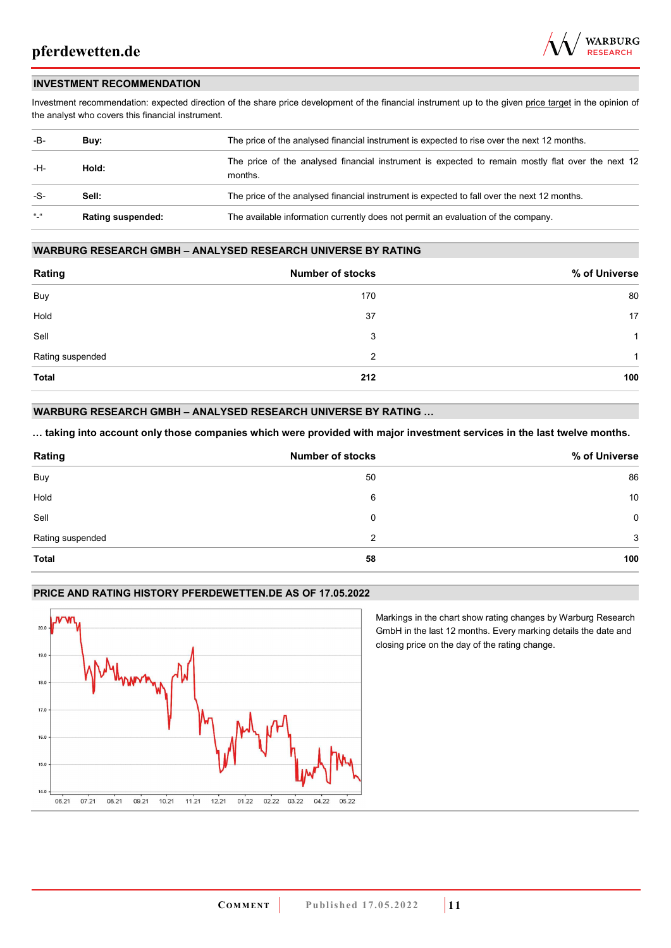

### **INVESTMENT RECOMMENDATION**

Investment recommendation: expected direction of the share price development of the financial instrument up to the given price target in the opinion of the analyst who covers this financial instrument.

| -B-           | Buv:                     | The price of the analysed financial instrument is expected to rise over the next 12 months.                  |
|---------------|--------------------------|--------------------------------------------------------------------------------------------------------------|
| -H-           | Hold:                    | The price of the analysed financial instrument is expected to remain mostly flat over the next 12<br>months. |
| -S-           | Sell:                    | The price of the analysed financial instrument is expected to fall over the next 12 months.                  |
| $\frac{1}{2}$ | <b>Rating suspended:</b> | The available information currently does not permit an evaluation of the company.                            |

### **WARBURG RESEARCH GMBH – ANALYSED RESEARCH UNIVERSE BY RATING**

| Rating           | <b>Number of stocks</b> | % of Universe |
|------------------|-------------------------|---------------|
| Buy              | 170                     | 80            |
| Hold             | 37                      | 17            |
| Sell             | 3                       | 1             |
| Rating suspended | 2                       | -1            |
| <b>Total</b>     | 212                     | 100           |

### **WARBURG RESEARCH GMBH – ANALYSED RESEARCH UNIVERSE BY RATING …**

**… taking into account only those companies which were provided with major investment services in the last twelve months.** 

| Rating           | <b>Number of stocks</b> | % of Universe |
|------------------|-------------------------|---------------|
| Buy              | 50                      | 86            |
| Hold             | 6                       | 10            |
| Sell             | 0                       | $\mathbf 0$   |
| Rating suspended | 2                       | 3             |
| <b>Total</b>     | 58                      | 100           |

### **PRICE AND RATING HISTORY PFERDEWETTEN.DE AS OF 17.05.2022**



Markings in the chart show rating changes by Warburg Research GmbH in the last 12 months. Every marking details the date and closing price on the day of the rating change.